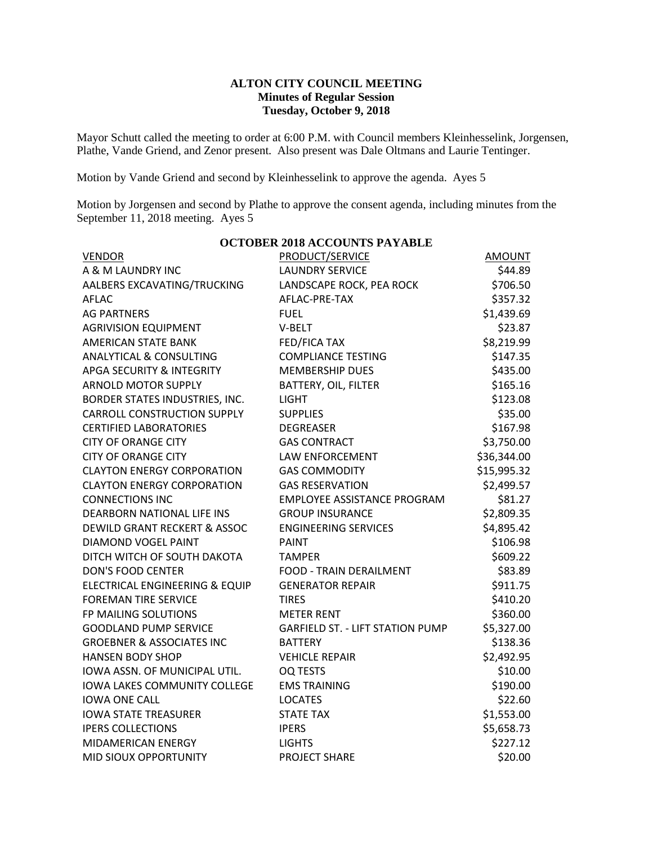## **ALTON CITY COUNCIL MEETING Minutes of Regular Session Tuesday, October 9, 2018**

Mayor Schutt called the meeting to order at 6:00 P.M. with Council members Kleinhesselink, Jorgensen, Plathe, Vande Griend, and Zenor present. Also present was Dale Oltmans and Laurie Tentinger.

Motion by Vande Griend and second by Kleinhesselink to approve the agenda. Ayes 5

Motion by Jorgensen and second by Plathe to approve the consent agenda, including minutes from the September 11, 2018 meeting. Ayes 5

| <b>OCTOBER 2018 ACCOUNTS PAYABLE</b>    |                                         |               |  |  |  |
|-----------------------------------------|-----------------------------------------|---------------|--|--|--|
| <b>VENDOR</b>                           | PRODUCT/SERVICE                         | <b>AMOUNT</b> |  |  |  |
| A & M LAUNDRY INC                       | <b>LAUNDRY SERVICE</b>                  | \$44.89       |  |  |  |
| AALBERS EXCAVATING/TRUCKING             | LANDSCAPE ROCK, PEA ROCK                | \$706.50      |  |  |  |
| <b>AFLAC</b>                            | AFLAC-PRE-TAX                           | \$357.32      |  |  |  |
| <b>AG PARTNERS</b>                      | <b>FUEL</b>                             | \$1,439.69    |  |  |  |
| <b>AGRIVISION EQUIPMENT</b>             | V-BELT                                  | \$23.87       |  |  |  |
| <b>AMERICAN STATE BANK</b>              | FED/FICA TAX                            | \$8,219.99    |  |  |  |
| <b>ANALYTICAL &amp; CONSULTING</b>      | <b>COMPLIANCE TESTING</b>               | \$147.35      |  |  |  |
| <b>APGA SECURITY &amp; INTEGRITY</b>    | <b>MEMBERSHIP DUES</b>                  | \$435.00      |  |  |  |
| <b>ARNOLD MOTOR SUPPLY</b>              | <b>BATTERY, OIL, FILTER</b>             | \$165.16      |  |  |  |
| BORDER STATES INDUSTRIES, INC.          | <b>LIGHT</b>                            | \$123.08      |  |  |  |
| <b>CARROLL CONSTRUCTION SUPPLY</b>      | <b>SUPPLIES</b>                         | \$35.00       |  |  |  |
| <b>CERTIFIED LABORATORIES</b>           | <b>DEGREASER</b>                        | \$167.98      |  |  |  |
| <b>CITY OF ORANGE CITY</b>              | <b>GAS CONTRACT</b>                     | \$3,750.00    |  |  |  |
| <b>CITY OF ORANGE CITY</b>              | LAW ENFORCEMENT                         | \$36,344.00   |  |  |  |
| <b>CLAYTON ENERGY CORPORATION</b>       | <b>GAS COMMODITY</b>                    | \$15,995.32   |  |  |  |
| <b>CLAYTON ENERGY CORPORATION</b>       | <b>GAS RESERVATION</b>                  | \$2,499.57    |  |  |  |
| <b>CONNECTIONS INC</b>                  | <b>EMPLOYEE ASSISTANCE PROGRAM</b>      | \$81.27       |  |  |  |
| DEARBORN NATIONAL LIFE INS              | <b>GROUP INSURANCE</b>                  | \$2,809.35    |  |  |  |
| <b>DEWILD GRANT RECKERT &amp; ASSOC</b> | <b>ENGINEERING SERVICES</b>             | \$4,895.42    |  |  |  |
| DIAMOND VOGEL PAINT                     | <b>PAINT</b>                            | \$106.98      |  |  |  |
| DITCH WITCH OF SOUTH DAKOTA             | <b>TAMPER</b>                           | \$609.22      |  |  |  |
| <b>DON'S FOOD CENTER</b>                | FOOD - TRAIN DERAILMENT                 | \$83.89       |  |  |  |
| ELECTRICAL ENGINEERING & EQUIP          | <b>GENERATOR REPAIR</b>                 | \$911.75      |  |  |  |
| <b>FOREMAN TIRE SERVICE</b>             | <b>TIRES</b>                            | \$410.20      |  |  |  |
| FP MAILING SOLUTIONS                    | <b>METER RENT</b>                       | \$360.00      |  |  |  |
| <b>GOODLAND PUMP SERVICE</b>            | <b>GARFIELD ST. - LIFT STATION PUMP</b> | \$5,327.00    |  |  |  |
| <b>GROEBNER &amp; ASSOCIATES INC</b>    | <b>BATTERY</b>                          | \$138.36      |  |  |  |
| <b>HANSEN BODY SHOP</b>                 | <b>VEHICLE REPAIR</b>                   | \$2,492.95    |  |  |  |
| IOWA ASSN. OF MUNICIPAL UTIL.           | OQ TESTS                                | \$10.00       |  |  |  |
| <b>IOWA LAKES COMMUNITY COLLEGE</b>     | <b>EMS TRAINING</b>                     | \$190.00      |  |  |  |
| <b>IOWA ONE CALL</b>                    | <b>LOCATES</b>                          | \$22.60       |  |  |  |
| <b>IOWA STATE TREASURER</b>             | <b>STATE TAX</b>                        | \$1,553.00    |  |  |  |
| <b>IPERS COLLECTIONS</b>                | <b>IPERS</b>                            | \$5,658.73    |  |  |  |
| MIDAMERICAN ENERGY                      | <b>LIGHTS</b>                           | \$227.12      |  |  |  |
| MID SIOUX OPPORTUNITY                   | PROJECT SHARE                           | \$20.00       |  |  |  |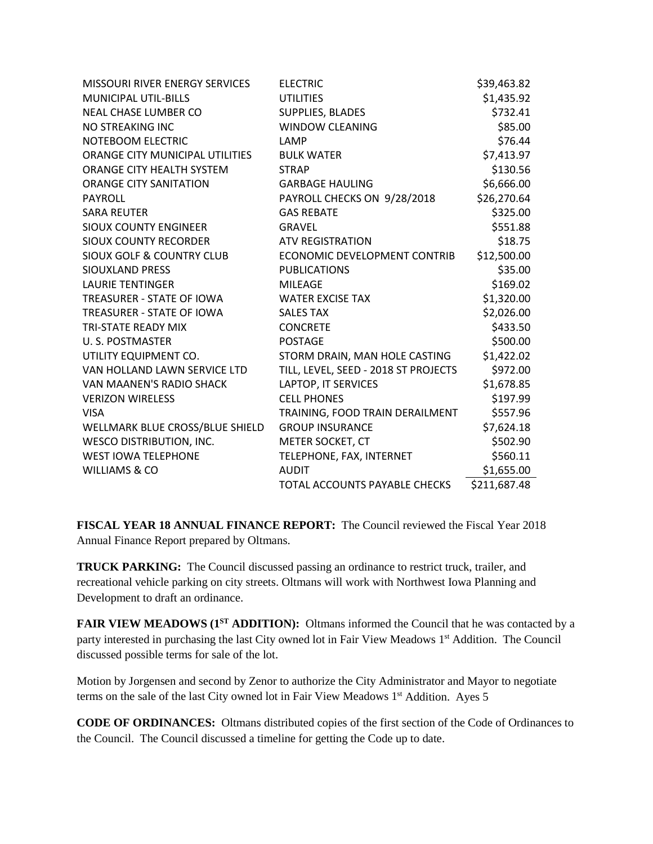| <b>MISSOURI RIVER ENERGY SERVICES</b>  | <b>ELECTRIC</b>                      | \$39,463.82  |
|----------------------------------------|--------------------------------------|--------------|
| <b>MUNICIPAL UTIL-BILLS</b>            | <b>UTILITIES</b>                     | \$1,435.92   |
| <b>NEAL CHASE LUMBER CO</b>            | SUPPLIES, BLADES                     | \$732.41     |
| NO STREAKING INC                       | <b>WINDOW CLEANING</b>               | \$85.00      |
| NOTEBOOM ELECTRIC                      | LAMP                                 | \$76.44      |
| <b>ORANGE CITY MUNICIPAL UTILITIES</b> | <b>BULK WATER</b>                    | \$7,413.97   |
| ORANGE CITY HEALTH SYSTEM              | <b>STRAP</b>                         | \$130.56     |
| <b>ORANGE CITY SANITATION</b>          | <b>GARBAGE HAULING</b>               | \$6,666.00   |
| <b>PAYROLL</b>                         | PAYROLL CHECKS ON 9/28/2018          | \$26,270.64  |
| <b>SARA REUTER</b>                     | <b>GAS REBATE</b>                    | \$325.00     |
| <b>SIOUX COUNTY ENGINEER</b>           | <b>GRAVEL</b>                        | \$551.88     |
| <b>SIOUX COUNTY RECORDER</b>           | <b>ATV REGISTRATION</b>              | \$18.75      |
| <b>SIOUX GOLF &amp; COUNTRY CLUB</b>   | <b>ECONOMIC DEVELOPMENT CONTRIB</b>  | \$12,500.00  |
| SIOUXLAND PRESS                        | <b>PUBLICATIONS</b>                  | \$35.00      |
| <b>LAURIE TENTINGER</b>                | <b>MILEAGE</b>                       | \$169.02     |
| TREASURER - STATE OF IOWA              | <b>WATER EXCISE TAX</b>              | \$1,320.00   |
| <b>TREASURER - STATE OF IOWA</b>       | <b>SALES TAX</b>                     | \$2,026.00   |
| <b>TRI-STATE READY MIX</b>             | <b>CONCRETE</b>                      | \$433.50     |
| U. S. POSTMASTER                       | <b>POSTAGE</b>                       | \$500.00     |
| UTILITY EQUIPMENT CO.                  | STORM DRAIN, MAN HOLE CASTING        | \$1,422.02   |
| VAN HOLLAND LAWN SERVICE LTD           | TILL, LEVEL, SEED - 2018 ST PROJECTS | \$972.00     |
| VAN MAANEN'S RADIO SHACK               | <b>LAPTOP, IT SERVICES</b>           | \$1,678.85   |
| <b>VERIZON WIRELESS</b>                | <b>CELL PHONES</b>                   | \$197.99     |
| <b>VISA</b>                            | TRAINING, FOOD TRAIN DERAILMENT      | \$557.96     |
| WELLMARK BLUE CROSS/BLUE SHIELD        | <b>GROUP INSURANCE</b>               | \$7,624.18   |
| <b>WESCO DISTRIBUTION, INC.</b>        | METER SOCKET, CT                     | \$502.90     |
| <b>WEST IOWA TELEPHONE</b>             | TELEPHONE, FAX, INTERNET             | \$560.11     |
| <b>WILLIAMS &amp; CO</b>               | <b>AUDIT</b>                         | \$1,655.00   |
|                                        | TOTAL ACCOUNTS PAYABLE CHECKS        | \$211,687.48 |

**FISCAL YEAR 18 ANNUAL FINANCE REPORT:** The Council reviewed the Fiscal Year 2018 Annual Finance Report prepared by Oltmans.

**TRUCK PARKING:** The Council discussed passing an ordinance to restrict truck, trailer, and recreational vehicle parking on city streets. Oltmans will work with Northwest Iowa Planning and Development to draft an ordinance.

FAIR VIEW MEADOWS (1<sup>ST</sup> ADDITION): Oltmans informed the Council that he was contacted by a party interested in purchasing the last City owned lot in Fair View Meadows 1st Addition. The Council discussed possible terms for sale of the lot.

Motion by Jorgensen and second by Zenor to authorize the City Administrator and Mayor to negotiate terms on the sale of the last City owned lot in Fair View Meadows 1<sup>st</sup> Addition. Ayes 5

**CODE OF ORDINANCES:** Oltmans distributed copies of the first section of the Code of Ordinances to the Council. The Council discussed a timeline for getting the Code up to date.